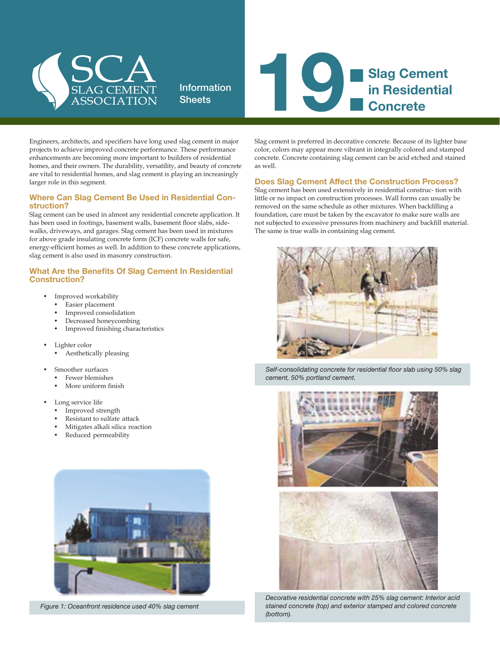

Information



Engineers, architects, and specifiers have long used slag cement in major projects to achieve improved concrete performance. These performance enhancements are becoming more important to builders of residential homes, and their owners. The durability, versatility, and beauty of concrete are vital to residential homes, and slag cement is playing an increasingly larger role in this segment.

## Where Can Slag Cement Be Used in Residential Con- struction?

Slag cement can be used in almost any residential concrete application. It has been used in footings, basement walls, basement floor slabs, sidewalks, driveways, and garages. Slag cement has been used in mixtures for above grade insulating concrete form (ICF) concrete walls for safe, energy-efficient homes as well. In addition to these concrete applications, slag cement is also used in masonry construction.

## What Are the Benefits Of Slag Cement In Residential Construction?

- Improved workability
- Easier placement
- Improved consolidation
- Decreased honeycombing
- Improved finishing characteristics
- Lighter color
	- Aesthetically pleasing
- Smoother surfaces
	- Fewer blemishes
	- More uniform finish
- Long service life
	- Improved strength
	- Resistant to sulfate attack
	- Mitigates alkali silica reaction
	- Reduced permeability



*Figure 1: Oceanfront residence used 40% slag cement*

Slag cement is preferred in decorative concrete. Because of its lighter base color, colors may appear more vibrant in integrally colored and stamped concrete. Concrete containing slag cement can be acid etched and stained as well.

## Does Slag Cement Affect the Construction Process?

Slag cement has been used extensively in residential construc- tion with little or no impact on construction processes. Wall forms can usually be removed on the same schedule as other mixtures. When backfilling a foundation, care must be taken by the excavator to make sure walls are not subjected to excessive pressures from machinery and backfill material. The same is true walls in containing slag cement.



*Self-consolidating concrete for residential floor slab using 50% slag cement, 50% portland cement.*



*Decorative residential concrete with 25% slag cement: Interior acid stained concrete (top) and exterior stamped and colored concrete (bottom).*